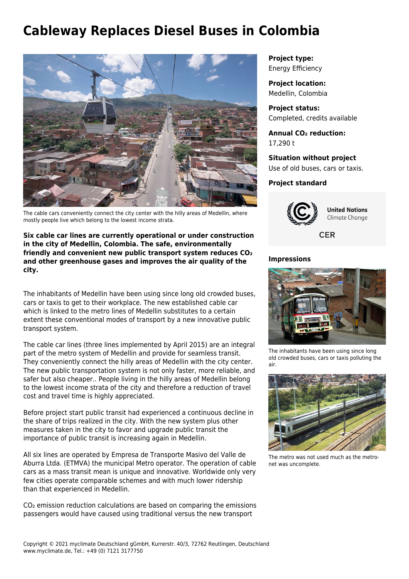## **Cableway Replaces Diesel Buses in Colombia**



The cable cars conveniently connect the city center with the hilly areas of Medellin, where mostly people live which belong to the lowest income strata.

**Six cable car lines are currently operational or under construction in the city of Medellin, Colombia. The safe, environmentally friendly and convenient new public transport system reduces CO₂ and other greenhouse gases and improves the air quality of the city.**

The inhabitants of Medellin have been using since long old crowded buses, cars or taxis to get to their workplace. The new established cable car which is linked to the metro lines of Medellin substitutes to a certain extent these conventional modes of transport by a new innovative public transport system.

The cable car lines (three lines implemented by April 2015) are an integral part of the metro system of Medellin and provide for seamless transit. They conveniently connect the hilly areas of Medellin with the city center. The new public transportation system is not only faster, more reliable, and safer but also cheaper.. People living in the hilly areas of Medellin belong to the lowest income strata of the city and therefore a reduction of travel cost and travel time is highly appreciated.

Before project start public transit had experienced a continuous decline in the share of trips realized in the city. With the new system plus other measures taken in the city to favor and upgrade public transit the importance of public transit is increasing again in Medellin.

All six lines are operated by Empresa de Transporte Masivo del Valle de Aburra Ltda. (ETMVA) the municipal Metro operator. The operation of cable cars as a mass transit mean is unique and innovative. Worldwide only very few cities operate comparable schemes and with much lower ridership than that experienced in Medellin.

CO₂ emission reduction calculations are based on comparing the emissions passengers would have caused using traditional versus the new transport

**Project type:** Energy Efficiency

**Project location:** Medellin, Colombia

**Project status:** Completed, credits available

**Annual CO₂ reduction:** 17,290 t

**Situation without project** Use of old buses, cars or taxis.

## **Project standard**



**United Nations** Climate Change

**CER** 

## **Impressions**



The inhabitants have been using since long old crowded buses, cars or taxis polluting the air.



The metro was not used much as the metronet was uncomplete.